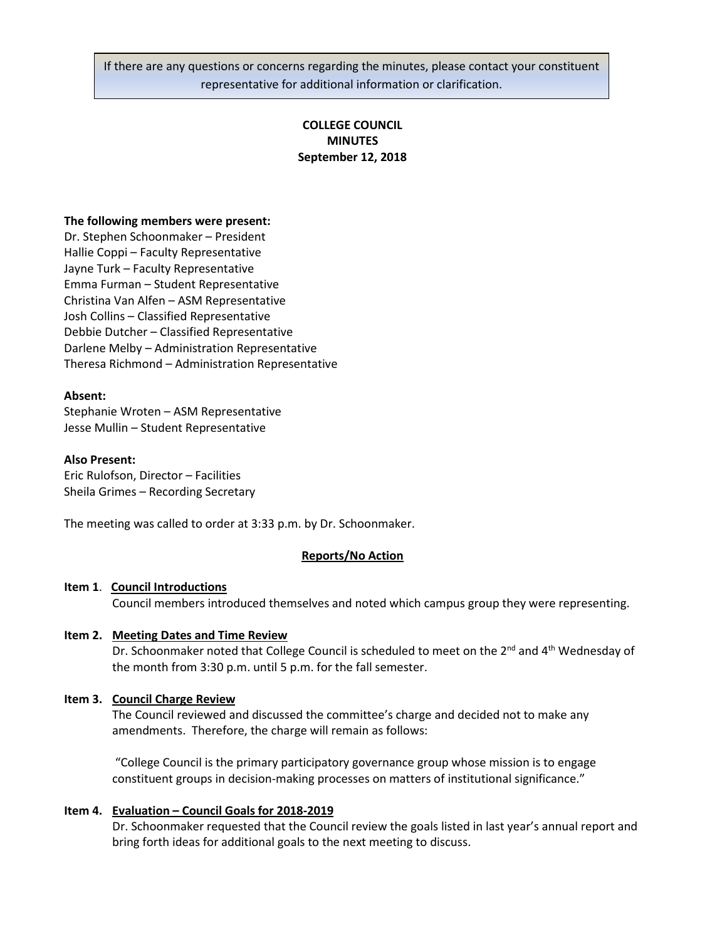If there are any questions or concerns regarding the minutes, please contact your constituent representative for additional information or clarification.

# **COLLEGE COUNCIL MINUTES September 12, 2018**

### **The following members were present:**

Dr. Stephen Schoonmaker – President Hallie Coppi – Faculty Representative Jayne Turk – Faculty Representative Emma Furman – Student Representative Christina Van Alfen – ASM Representative Josh Collins – Classified Representative Debbie Dutcher – Classified Representative Darlene Melby – Administration Representative Theresa Richmond – Administration Representative

#### **Absent:**

Stephanie Wroten – ASM Representative Jesse Mullin – Student Representative

#### **Also Present:**

Eric Rulofson, Director – Facilities Sheila Grimes – Recording Secretary

The meeting was called to order at 3:33 p.m. by Dr. Schoonmaker.

#### **Reports/No Action**

#### **Item 1**. **Council Introductions**

Council members introduced themselves and noted which campus group they were representing.

### **Item 2. Meeting Dates and Time Review**

Dr. Schoonmaker noted that College Council is scheduled to meet on the  $2^{nd}$  and  $4^{th}$  Wednesday of the month from 3:30 p.m. until 5 p.m. for the fall semester.

### **Item 3. Council Charge Review**

The Council reviewed and discussed the committee's charge and decided not to make any amendments. Therefore, the charge will remain as follows:

"College Council is the primary participatory governance group whose mission is to engage constituent groups in decision-making processes on matters of institutional significance."

### **Item 4. Evaluation – Council Goals for 2018-2019**

Dr. Schoonmaker requested that the Council review the goals listed in last year's annual report and bring forth ideas for additional goals to the next meeting to discuss.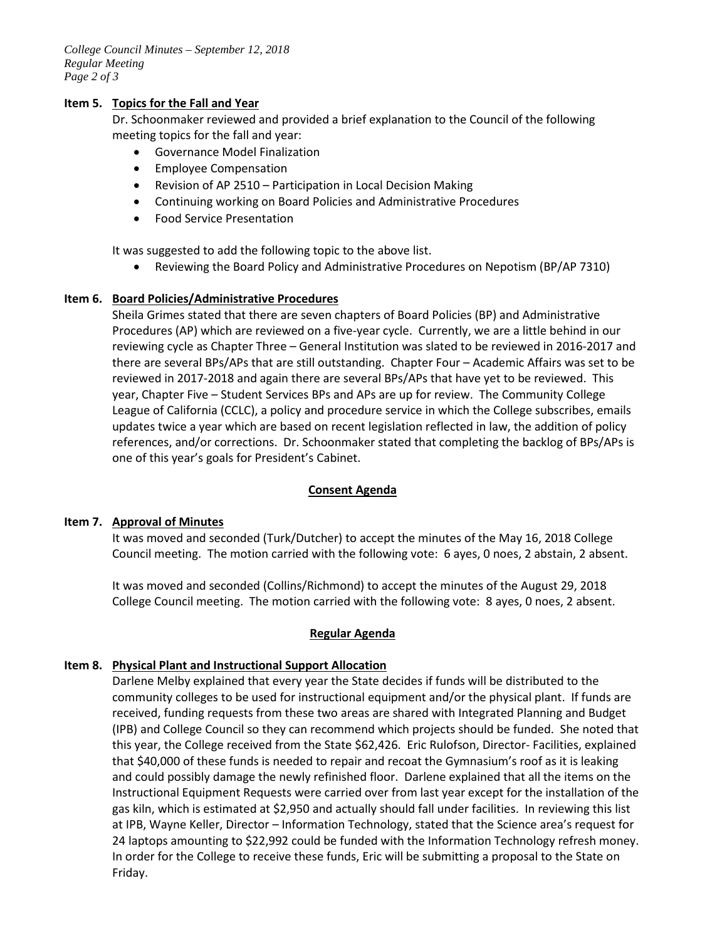*College Council Minutes – September 12, 2018 Regular Meeting Page 2 of 3*

### **Item 5. Topics for the Fall and Year**

Dr. Schoonmaker reviewed and provided a brief explanation to the Council of the following meeting topics for the fall and year:

- Governance Model Finalization
- Employee Compensation
- Revision of AP 2510 Participation in Local Decision Making
- Continuing working on Board Policies and Administrative Procedures
- Food Service Presentation

It was suggested to add the following topic to the above list.

• Reviewing the Board Policy and Administrative Procedures on Nepotism (BP/AP 7310)

# **Item 6. Board Policies/Administrative Procedures**

Sheila Grimes stated that there are seven chapters of Board Policies (BP) and Administrative Procedures (AP) which are reviewed on a five-year cycle. Currently, we are a little behind in our reviewing cycle as Chapter Three – General Institution was slated to be reviewed in 2016-2017 and there are several BPs/APs that are still outstanding. Chapter Four – Academic Affairs was set to be reviewed in 2017-2018 and again there are several BPs/APs that have yet to be reviewed. This year, Chapter Five – Student Services BPs and APs are up for review. The Community College League of California (CCLC), a policy and procedure service in which the College subscribes, emails updates twice a year which are based on recent legislation reflected in law, the addition of policy references, and/or corrections. Dr. Schoonmaker stated that completing the backlog of BPs/APs is one of this year's goals for President's Cabinet.

# **Consent Agenda**

# **Item 7. Approval of Minutes**

It was moved and seconded (Turk/Dutcher) to accept the minutes of the May 16, 2018 College Council meeting. The motion carried with the following vote: 6 ayes, 0 noes, 2 abstain, 2 absent.

It was moved and seconded (Collins/Richmond) to accept the minutes of the August 29, 2018 College Council meeting. The motion carried with the following vote: 8 ayes, 0 noes, 2 absent.

# **Regular Agenda**

# **Item 8. Physical Plant and Instructional Support Allocation**

Darlene Melby explained that every year the State decides if funds will be distributed to the community colleges to be used for instructional equipment and/or the physical plant. If funds are received, funding requests from these two areas are shared with Integrated Planning and Budget (IPB) and College Council so they can recommend which projects should be funded. She noted that this year, the College received from the State \$62,426. Eric Rulofson, Director- Facilities, explained that \$40,000 of these funds is needed to repair and recoat the Gymnasium's roof as it is leaking and could possibly damage the newly refinished floor. Darlene explained that all the items on the Instructional Equipment Requests were carried over from last year except for the installation of the gas kiln, which is estimated at \$2,950 and actually should fall under facilities. In reviewing this list at IPB, Wayne Keller, Director – Information Technology, stated that the Science area's request for 24 laptops amounting to \$22,992 could be funded with the Information Technology refresh money. In order for the College to receive these funds, Eric will be submitting a proposal to the State on Friday.